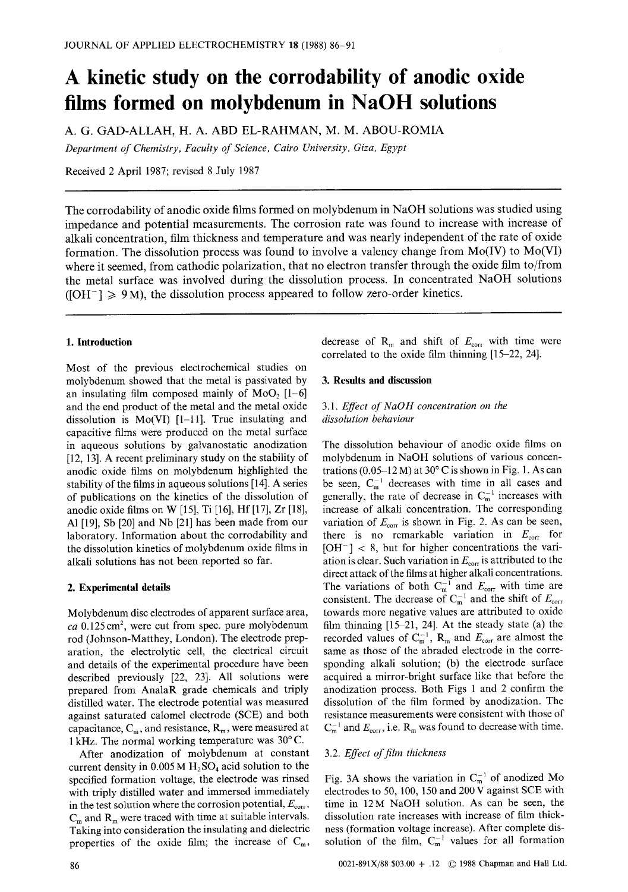# **A kinetic study on the corrodability of anodic oxide films formed on molybdenum in NaOH solutions**

**A. G. GAD-ALLAH, H. A.** ABD EL-RAHMAN, **M. M.** ABOU-ROMIA *Department of Chemistry, Faculty of Science, Cairo University, Giza, Egypt* 

Received 2 April 1987; revised 8 July 1987

The corrodability of anodic oxide films formed on molybdenum in NaOH solutions was studied using impedance and potential measurements. The corrosion rate was found to increase with increase of alkali concentration, film thickness and temperature and was nearly independent of the rate of oxide formation. The dissolution process was found to involve a valency change from Mo(IV) to Mo(VI) where it seemed, from cathodic polarization, that no electron transfer through the oxide film to/from the metal surface was involved during the dissolution process. In concentrated NaOH solutions  $( [OH^-] \ge 9 M)$ , the dissolution process appeared to follow zero-order kinetics.

# **1. Introduction**

Most of the previous electrochemical studies on molybdenum showed that the metal is passivated by an insulating film composed mainly of  $MoO<sub>2</sub>$  [1-6] and the end product of the metal and the metal oxide dissolution is Mo(VI) [1-11]. True insulating and capacitive films were produced on the metal surface in aqueous solutions by galvanostatic anodization [12, 13]. A recent preliminary study on the stability of anodic oxide films on molybdenum highlighted the stability of the films in aqueous solutions [14]. A series of publications on the kinetics of the dissolution of anodic oxide films on W [15], Ti [16], Hf [17], Zr [18], A1 [19], Sb [20] and Nb [21] has been made from our laboratory. Information about the corrodability and the dissolution kinetics of molybdenum oxide films in alkali solutions has not been reported so far.

## **2. Experimental details**

Molybdenum disc electrodes of apparent surface area, *ca* 0.125 cm<sup>2</sup>, were cut from spec. pure molybdenum rod (Johnson-Matthey, London). The electrode preparation, the electrolytic cell, the electrical circuit and details of the experimental procedure have been described previously [22, 23]. All solutions were prepared from AnalaR grade chemicals and triply distilled water. The electrode potential was measured against saturated calomel electrode (SCE) and both capacitance,  $C_m$ , and resistance,  $R_m$ , were measured at 1 kHz. The normal working temperature was  $30^{\circ}$ C.

After anodization of molybdenum at constant current density in  $0.005$  M  $H$ <sub>2</sub>SO<sub>4</sub> acid solution to the specified formation voltage, the electrode was rinsed with triply distilled water and immersed immediately in the test solution where the corrosion potential,  $E_{\text{corr}}$ ,  $C_m$  and  $R_m$  were traced with time at suitable intervals. Taking into consideration the insulating and dielectric properties of the oxide film; the increase of  $C_m$ , decrease of  $R_m$  and shift of  $E_{corr}$  with time were correlated to the oxide film thinning [15-22, 24].

## **3. Results and discussion**

# *3.1. Effect of NaOH concentration on the dissolution behaviour*

The dissolution behaviour of anodic oxide films on molybdenum in NaOH solutions of various concentrations (0.05–12 M) at 30 $\degree$  C is shown in Fig. 1. As can be seen,  $C_m^{-1}$  decreases with time in all cases and generally, the rate of decrease in  $C_m^{-1}$  increases with increase of alkali concentration. The corresponding variation of  $E_{\text{corr}}$  is shown in Fig. 2. As can be seen, there is no remarkable variation in  $E_{\text{corr}}$  for  $[OH^-] < 8$ , but for higher concentrations the variation is clear. Such variation in  $E_{\text{corr}}$  is attributed to the direct attack of the films at higher alkali concentrations. The variations of both  $C_m^{-1}$  and  $E_{\text{corr}}$  with time are consistent. The decrease of  $C_m^{-1}$  and the shift of  $E_{\text{corr}}$ . towards more negative values are attributed to oxide film thinning [15-21, 24]. At the steady state (a) the recorded values of  $C_m^{-1}$ ,  $R_m$  and  $E_{corr}$  are almost the same as those of the abraded electrode in the corresponding alkali solution; (b) the electrode surface acquired a mirror-bright surface like that before the anodization process. Both Figs 1 and 2 confirm the dissolution of the film formed by anodization. The resistance measurements were consistent with those of  $C_m^{-1}$  and  $E_{corr}$ , i.e.  $R_m$  was found to decrease with time.

# 3.2. *Effect of film thickness*

Fig. 3A shows the variation in  $C_m^{-1}$  of anodized Mo electrodes to 50, 100, 150 and 200V against SCE with time in 12M NaOH solution. As can be seen, the dissolution rate increases with increase of film thickness (formation voltage increase). After complete dissolution of the film,  $C_m^{-1}$  values for all formation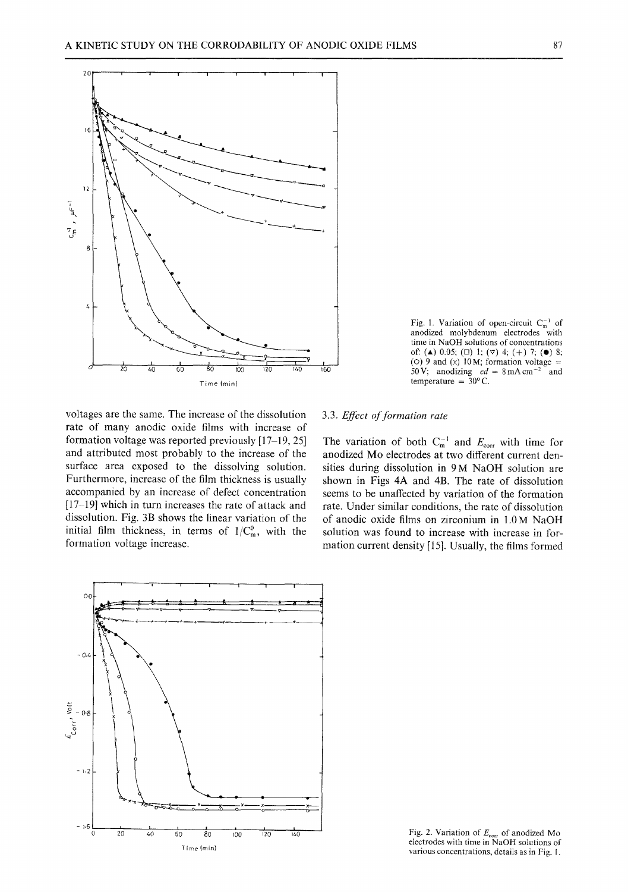

Fig. 1. Variation of open-circuit  $C_m^{-1}$  of anodized molybdenum electrodes with time in NaOH solutions of concentrations of: ( $\blacktriangle$ ) 0.05; ( $\Box$ ) 1; ( $\nabla$ ) 4; (+) 7; ( $\blacklozenge$ ) 8; (O) 9 and (x) 10 M; formation voltage  $=$ 50 V; anodizing  $cd = 8 \text{ mA cm}^{-2}$  and temperature =  $30^{\circ}$  C.

voltages are the same. The increase of the dissolution rate of many anodic oxide films with increase of formation voltage was reported previously [17-19, 25] and attributed most probably to the increase of the surface area exposed to the dissolving solution. Furthermore, increase of the film thickness is usually accompanied by an increase of defect concentration [17-19] which in turn increases the rate of attack and dissolution. Fig. 3B shows the linear variation of the initial film thickness, in terms of  $1/C_m^0$ , with the formation voltage increase.

# 3.3. *Effect of formation rate*

The variation of both  $C_{m}^{-1}$  and  $E_{\text{corr}}$  with time for anodized Mo electrodes at two different current densities during dissolution in 9 M NaOH solution are shown in Figs 4A and 4B. The rate of dissolution seems to be unaffected by variation of the formation rate. Under similar conditions, the rate of dissolution of anodic oxide films on zirconium in 1.0 M NaOH solution was found to increase with increase in formation current density [15]. Usually, the films formed



Fig. 2. Variation of  $E_{\text{corr}}$  of anodized Mo electrodes with time in NaOH solutions of various concentrations, details as in Fig. I.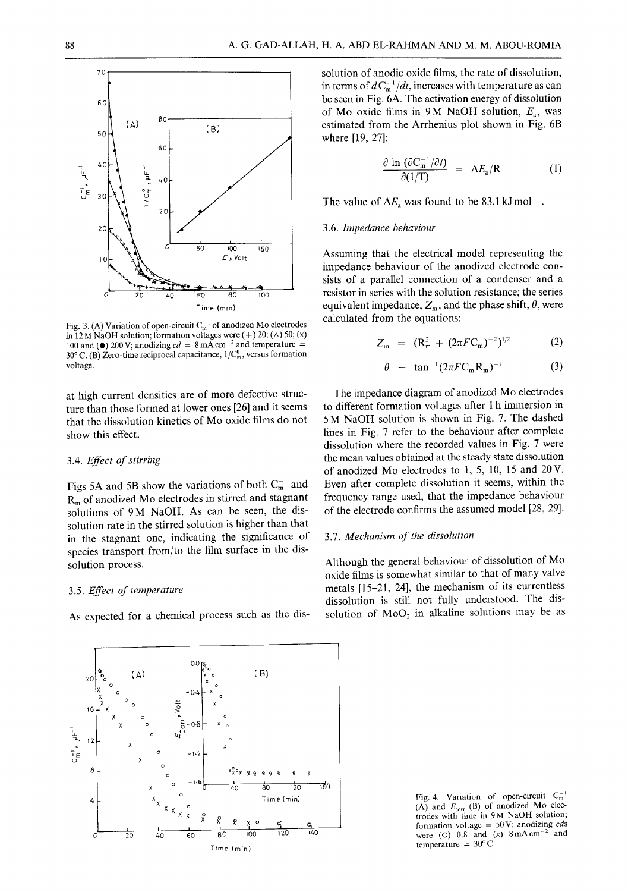

Fig. 3. (A) Variation of open-circuit  $C_m^{-1}$  of anodized Mo electrodes in 12 M NaOH solution; formation voltages were  $(+)$  20;  $(\triangle)$  50;  $(x)$ 100 and ( $\bullet$ ) 200 V; anodizing  $cd = 8$  mA cm<sup>-2</sup> and temperature =  $30^{\circ}$  C. (B) Zero-time reciprocal capacitance,  $1/C_m^0$ , versus formation voltage.

at high current densities are of more defective structure than those formed at lower ones [26] and it seems that the dissolution kinetics of Mo oxide films do not show this effect.

#### *3.4. Effect of stirring*

Figs 5A and 5B show the variations of both  $C_m^{-1}$  and  $R<sub>m</sub>$  of anodized Mo electrodes in stirred and stagnant solutions of 9M NaOH. As can be seen, the dissolution rate in the stirred solution is higher than that in the stagnant one, indicating the significance of species transport from/to the film surface in the dissolution process.

## 3.5. *Effect of temperature*

As expected for a chemical process such as the dis-



solution of anodic oxide films, the rate of dissolution, in terms of  $dC_m^{-1}/dt$ , increases with temperature as can be seen in Fig. 6A. The activation energy of dissolution of Mo oxide films in 9 M NaOH solution,  $E_a$ , was estimated from the Arrhenius plot shown in Fig. 6B where [19, 27]:

$$
\frac{\partial \ln (\partial C_m^{-1}/\partial t)}{\partial (1/T)} = \Delta E_a/R \qquad (1)
$$

The value of  $\Delta E_a$  was found to be 83.1 kJ mol<sup>-1</sup>.

#### 3.6. *Impedance behaviour*

Assuming that the electrical model representing the impedance behaviour of the anodized electrode consists of a parallel connection of a condenser and a resistor in series with the solution resistance; the series equivalent impedance,  $Z_m$ , and the phase shift,  $\theta$ , were calculated from the equations:

$$
Z_{\rm m} = (R_{\rm m}^2 + (2\pi F C_{\rm m})^{-2})^{1/2} \tag{2}
$$

$$
\theta = \tan^{-1}(2\pi F C_m R_m)^{-1} \tag{3}
$$

The impedance diagram of anodized Mo electrodes to different formation voltages after 1 h immersion in 5 M NaOH solution is shown in Fig. 7. The dashed lines in Fig. 7 refer to the behaviour after complete dissolution where the recorded values in Fig. 7 were the mean values obtained at the steady state dissolution of anodized Mo electrodes to 1, 5, 10, 15 and 20V. Even after complete dissolution it seems, within the frequency range used, that the impedance behaviour of the electrode confirms the assumed model [28, 29].

## 3.7. *Mechanism of the dissolution*

Although the general behaviour of dissolution of Mo oxide films is somewhat similar to that of many valve metals [15-21, 24], the mechanism of its currentless dissolution is still not fully understood. The dissolution of  $MoO<sub>2</sub>$  in alkaline solutions may be as

Fig. 4. Variation of open-circuit  $C_m^{-1}$ (A) and  $E_{\text{corr}}$  (B) of anodized Mo electrodes with time in 9M NaOH solution; formation voltage = 50 V; anodizing *cds*<br>ware  $f(0)$ , 0.8, and  $f(x)$ , 8 mA cm<sup>-2</sup> and were (O)  $0.8$  and (x)  $8 \text{ mA cm}^{-2}$ temperature =  $30^{\circ}$ C.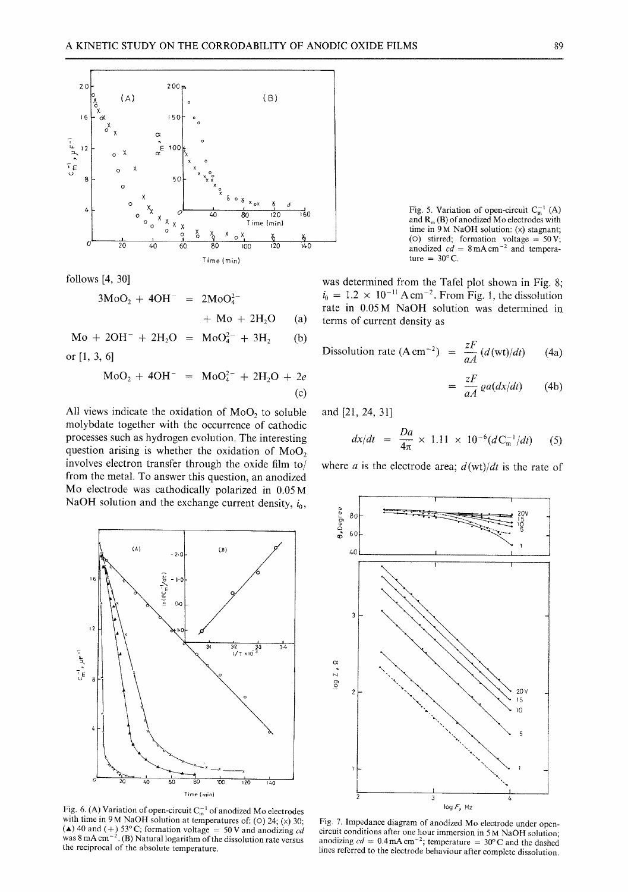

**follows [4, 30]** 

$$
3MoO2 + 4OH- = 2MoO42+ Mo + 2H2O (a)
$$

 $Mo + 2OH + 2H_2O = MoO_4^2 + 3H_2$  (b) **or [1, 3, 6]** 

$$
MoO2 + 4OH- = MoO42- + 2H2O + 2e
$$
  
(c)

All views indicate the oxidation of MoO<sub>2</sub> to soluble **molybdate together with the occurrence of cathodic processes such as hydrogen evolution, The interesting**  question arising is whether the oxidation of MoO<sub>2</sub> **involves electron transfer through the oxide film to/ from the metal. To answer this question, an anodized Mo electrode was cathodically polarized in 0.05M**  NaOH solution and the exchange current density,  $i_0$ ,



Fig. 6. (A) Variation of open-circuit  $C_m^{-1}$  of anodized Mo electrodes with time in 9 M NaOH solution at temperatures of: (0) 24; (x) 30;  $(A)$  40 and  $(+)$  53°C; formation voltage  $=$  50 V and anodizing *cd* **was 8 mA cm -2 . (B) Natural logarithm of the dissolution rate versus the reciprocal of the absolute temperature.** 

Fig. 5. Variation of open-circuit  $C_m^{-1}(A)$ **and R m (B) of anodized Mo electrodes with time in 9 M NaOH solution: (x) stagnant; (O) stirred; formation voltage = 50V;**  anodized  $cd = 8 \text{ mA cm}^{-2}$  and tempera- $\tan \theta = 30^{\circ}$  C.

**was determined from the Tafel plot shown in Fig. 8;**   $a_0 = 1.2 \times 10^{-11} \text{ A cm}^{-2}$ . From Fig. 1, the dissolution **rate in 0.05M NaOH solution was determined in terms of current density as** 

$$
\text{Dissolution rate (A cm}^{-2}) = \frac{zF}{aA} \left( d(\text{wt})/dt \right) \tag{4a}
$$

$$
= \frac{zF}{aA} \varrho a(dx/dt) \qquad (4b)
$$

**and [21, 24, 31]** 

$$
dx/dt = \frac{Da}{4\pi} \times 1.11 \times 10^{-6} (dC_{m}^{-1}/dt) \qquad (5)
$$

where *a* is the electrode area;  $d(\text{wt})/dt$  is the rate of



**Fig. 7. Impedance diagram of anodized Mo electrode under opencircuit conditions after one hour immersion in 5 M NaOH solution;**  anodizing  $cd = 0.4$  mA cm<sup>-2</sup>; temperature = 30°C and the dashed **lines referred to the electrode behaviour after complete dissolution.**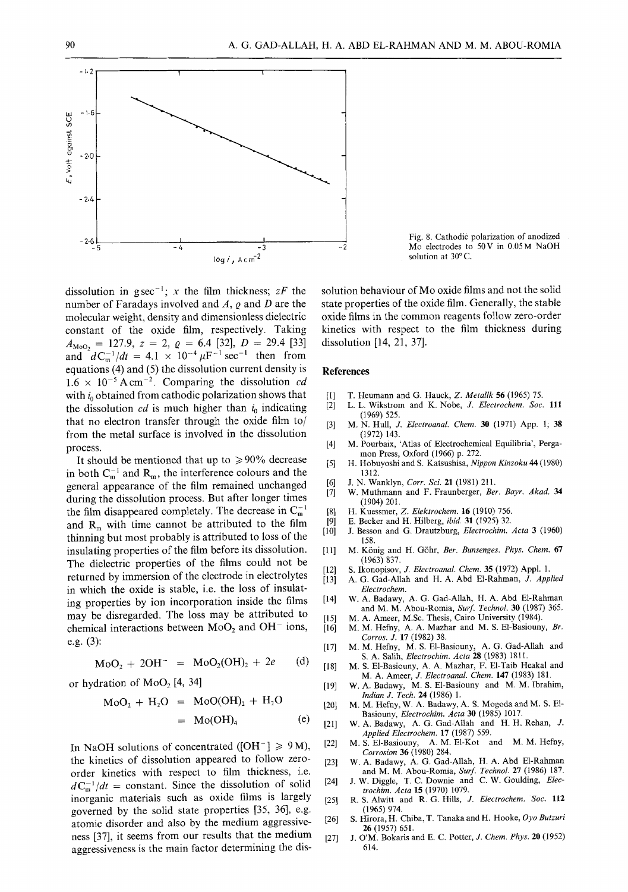

dissolution in g sec<sup>-1</sup>; x the film thickness;  $zF$  the number of Faradays involved and  $A$ ,  $\rho$  and  $D$  are the molecular weight, density and dimensionless dielectric constant of the oxide film, respectively. Taking  $A_{\text{MoO}_2} = 127.9, z = 2, \varrho = 6.4 \; [32], D = 29.4 \; [33]$ and  $dC_{m}^{-1}/dt=4.1 \times 10^{-4} \mu F^{-1} \text{ sec}^{-1}$  then from equations (4) and (5) the dissolution current density is  $1.6 \times 10^{-5}$  A cm<sup>-2</sup>. Comparing the dissolution *cd* with  $i_0$  obtained from cathodic polarization shows that the dissolution  $cd$  is much higher than  $i_0$  indicating that no electron transfer through the oxide film to/ from the metal surface is involved in the dissolution process.

It should be mentioned that up to  $\geq 90\%$  decrease in both  $C_m^{-1}$  and  $R_m$ , the interference colours and the general appearance of the film remained unchanged during the dissolution process. But after longer times the film disappeared completely. The decrease in  $C_m^{-1}$ and  $R_m$  with time cannot be attributed to the film thinning but most probably is attributed to loss of the insulating properties of the film before its dissolution. The dielectric properties of the films could not be returned by immersion of the electrode in electrolytes in which the oxide is stable, i.e. the loss of insulating properties by ion incorporation inside the films may be disregarded. The loss may be attributed to chemical interactions between  $MoO<sub>2</sub>$  and  $OH<sup>-</sup>$  ions, e.g. (3):

$$
MoO2 + 2OH- = MoO2(OH)2 + 2e
$$
 (d)

or hydration of  $MoO<sub>2</sub> [4, 34]$ 

$$
MoO2 + H2O = MoO(OH)2 + H2O= Mo(OH)4 (e)
$$

In NaOH solutions of concentrated ( $[OH^-] \ge 9 M$ ), the kinetics of dissolution appeared to follow zeroorder kinetics with respect to film thickness, i.e.  $dC_m^{-1}/dt$  = constant. Since the dissolution of solid inorganic materials such as oxide films is largely governed by the solid state properties [35, 36], e.g. atomic disorder and also by the medium aggressiveness [37], it seems from our results that the medium aggressiveness is the main factor determining the dis-

Fig. 8. Cathodic polarization of anodized Mo electrodes to 50V in 0.05M NaOH solution at  $30^{\circ}$  C.

solution behaviour of Mo oxide films and not the solid state properties of the oxide film. Generally, the stable oxide films in the common reagents follow zero-order kinetics with respect to the film thickness during dissolution [14, 21, 37].

## **References**

- 
- [I] T. Heumann and G. Hauck, *Z. Metallk* 56 (1965) 75. [2] L.L. Wikstrom and K. Nobe, *27. Electrochem. Soc.* 111 (1969) 525.
- [3] M.N. Hull, J. *Electroanal. Chem.* 30 (1971) App. 1; 38 (1972) 143.
- [4] M. Pourbaix, 'Atlas of Electrochemical Equilibria', Pergamon Press, Oxford (1966) p. 272.
- [5] H. Hobuyoshi and S. Katsushisa, *Nippon Kinzoku 44* (1980) 1312.
- [6] J.N. Wanklyn, *Corr. Sci.* 21 (1981) 211.
- [7] W. Muthmann and F. Fraunberger, *Bet. Bayr. Akad. 34*  (1904) 201.
- [8] H. Kuessmer, *Z. Elektrochem.* 16 (I910) 756.
- [9] E. Becker and H. Hilberg, *ibid.* 31 (1925) 32.
- [10] J. Besson and G. Drautzburg, *Electrochim. Acta* 3 (1960) 158.
- [11] M. K6nig and H. G6hr, *Ber. Bunsenges. Phys. Chem.* 67 (1963) 837.
- [12] S. Ikonopisov, *J. Electroanal. Chem.* 35 (1972) Appl. 1.
- [13] A.G. Gad-Allah and H. A. Abd E1-Rahman, *J. Applied Electrochem.*
- [14] W.A. Badawy, A. G. Gad-Allah, H. A. Abd E1-Rahman and M. M. Abou-Romia, *Surf. TechnoL* 30 (1987) 365.
- [15] M.A. Ameer, M.Sc. Thesis, Cairo University (1984). [16] M.M. Hefny, A. A. Mazhar and M. S. E1-Basiouny, *Br.*
- *Corros. J.* 17 (1982) 38. [17] M.M. Hefny, M. S. E1-Basiouny, A. G. Gad-Allah and
- S. A. Salih, *Electrochim. Acta* 28 (1983) 1811. [18] M.S. E1-Basiouny, A. A. Mazhar, F. E1-Taib Heakal and
	- M. A. Ameer, *J. Electroanal. Chem.* 147 (1983) 181.
- [19] W.A. Badawy, M. S. E1-Basiouny and M. M. Ibrahim, *Indian J. Tech.* 24 (1986) 1.
- [20] M.M. Hefny, W. A. Badawy, A. S. Mogoda and M. S. E1- Basiouny, *Electrochim. Acta* 30 (1985) 1017.
- [21] W.A. Badawy, A. G. Gad-Allah and H. H. Rehan, J. *Applied Electrochem.* 17 (1987) 559.
- [22] M.S. E1-Basiouny, A.M. EI-Kot and M.M. Hefny, *Corrosion* 36 (1980) 284.
- [23] W.A. Badawy, A. G. Gad-Allah, H. A. Abd E1-Rahman and M. M. Abou-Romia, *Surf. Technol.* 27 (1986) 187.
- [24] J.W. Diggle, T. C. Downie and C. W. Goulding, *Electrochim. Acta* 15 (1970) 1079.
- [25] R.S. Alwitt and R. G. Hills, *J. Electrochem. Soc.* 112 (1965) 974.
- [26] S. Hirora, H. Chiba, T. Tanaka and H. Hooke, *Oyo Butzuri*  26 (1957) 651.
- [27] J. O'M. Bokaris and E. C. Potter, *J. Chem. Phys.* 20 (1952) 614.